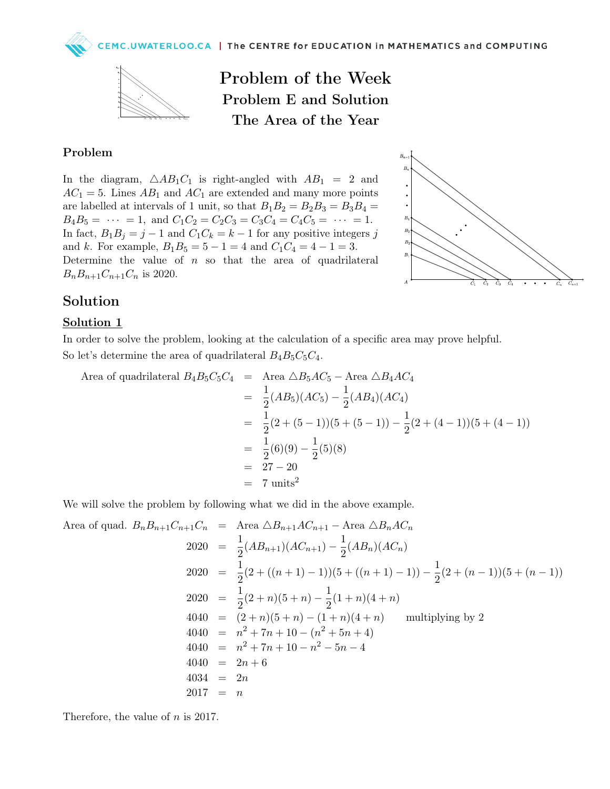

Problem of the Week Problem E and Solution The Area of the Year

## Problem

In the diagram,  $\triangle AB_1C_1$  is right-angled with  $AB_1 = 2$  and  $AC_1 = 5$ . Lines  $AB_1$  and  $AC_1$  are extended and many more points are labelled at intervals of 1 unit, so that  $B_1B_2 = B_2B_3 = B_3B_4 =$  $B_4B_5 = \cdots = 1$ , and  $C_1C_2 = C_2C_3 = C_3C_4 = C_4C_5 = \cdots = 1$ . In fact,  $B_1B_j = j - 1$  and  $C_1C_k = k - 1$  for any positive integers j and k. For example,  $B_1B_5 = 5 - 1 = 4$  and  $C_1C_4 = 4 - 1 = 3$ . Determine the value of  $n$  so that the area of quadrilateral  $B_n B_{n+1} C_{n+1} C_n$  is 2020.



## Solution

## Solution 1

In order to solve the problem, looking at the calculation of a specific area may prove helpful. So let's determine the area of quadrilateral  $B_4B_5C_5C_4$ .

Area of quadrilateral 
$$
B_4B_5C_5C_4
$$
 = Area  $\triangle B_5AC_5$  - Area  $\triangle B_4AC_4$   
\n=  $\frac{1}{2}(AB_5)(AC_5) - \frac{1}{2}(AB_4)(AC_4)$   
\n=  $\frac{1}{2}(2 + (5 - 1))(5 + (5 - 1)) - \frac{1}{2}(2 + (4 - 1))(5 + (4 - 1))$   
\n=  $\frac{1}{2}(6)(9) - \frac{1}{2}(5)(8)$   
\n=  $27 - 20$   
\n= 7 units<sup>2</sup>

We will solve the problem by following what we did in the above example.

Area of quad. 
$$
B_n B_{n+1} C_{n+1} C_n
$$
 = Area  $\triangle B_{n+1} AC_{n+1}$  - Area  $\triangle B_n AC_n$   
\n
$$
2020 = \frac{1}{2} (AB_{n+1}) (AC_{n+1}) - \frac{1}{2} (AB_n) (AC_n)
$$
\n
$$
2020 = \frac{1}{2} (2 + ((n+1) - 1)) (5 + ((n+1) - 1)) - \frac{1}{2} (2 + (n-1)) (5 + (n-1))
$$
\n
$$
2020 = \frac{1}{2} (2 + n) (5 + n) - \frac{1}{2} (1 + n) (4 + n)
$$
\n
$$
4040 = (2 + n) (5 + n) - (1 + n) (4 + n)
$$
\nmultiplying by 2  
\n
$$
4040 = n^2 + 7n + 10 - (n^2 + 5n + 4)
$$
\n
$$
4040 = 2n + 6
$$
\n
$$
4034 = 2n
$$
\n
$$
2017 = n
$$

Therefore, the value of  $n$  is 2017.